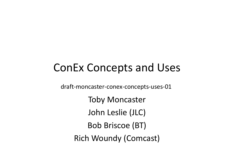# ConEx Concepts and Uses

draft-moncaster-conex-concepts-uses-01

Toby MoncasterJohn Leslie (JLC)Bob Briscoe (BT)Rich Woundy (Comcast)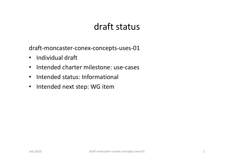#### draft status

draft-moncaster-conex-concepts-uses-01

- Individual draft
- Intended charter milestone: use-cases
- Intended status: Informational
- •Intended next step: WG item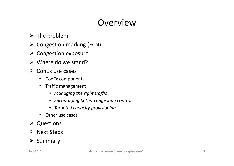## **Overview**

- $\triangleright$  The problem
- **► Congestion marking (ECN)**
- Congestion exposure
- **► Where do we stand?**
- $\triangleright$  ConEx use cases
	- $\bullet$ ConEx components
	- Traffic management $\bullet$ 
		- *Managing the right traffic*
		- *Encouraging better congestion control*
		- *Targeted capacity provisioning*
	- $\bullet$ Other use cases
- **▶ Questions**
- **► Next Steps**

#### $\triangleright$  Summary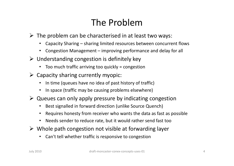## The Problem

- $\triangleright$  The problem can be characterised in at least two ways:
	- $\bullet$ Capacity Sharing – sharing limited resources between concurrent flows
	- $\bullet$ Congestion Management – improving performance and delay for all
- $\triangleright$  Understanding congestion is definitely key
	- $\bullet$ Too much traffic arriving too quickly = congestion
- > Capacity sharing currently myopic:
	- •In time (queues have no idea of past history of traffic)
	- •In space (traffic may be causing problems elsewhere)
- > Queues can only apply pressure by indicating congestion
	- •Best signalled in forward direction (unlike Source Quench)
	- •Requires honesty from receiver who wants the data as fast as possible
	- •Needs sender to reduce rate, but it would rather send fast too
- > Whole path congestion not visible at forwarding layer
	- •Can't tell whether traffic is responsive to congestion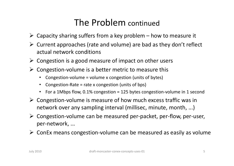### The Problem continued

- $\triangleright$  Capacity sharing suffers from a key problem how to measure it
- $\triangleright$  Current approaches (rate and volume) are bad as they don't reflect actual network conditions
- > Congestion is a good measure of impact on other users
- $\triangleright$  Congestion-volume is a better metric to measure this
	- $\bullet$ Congestion-volume = volume x congestion (units of bytes)
	- •Congestion-Rate = rate x congestion (units of bps)
	- $\bullet$ For a 1Mbps flow, 0.1% congestion = 125 bytes congestion-volume in 1 second
- > Congestion-volume is measure of how much excess traffic was in network over any sampling interval (millisec, minute, month, ...)
- > Congestion-volume can be measured per-packet, per-flow, per-user, per-network, ...
- ConEx means congestion-volume can be measured as easily as volume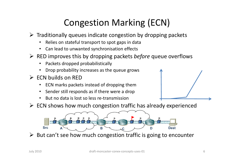## Congestion Marking (ECN)

- > Traditionally queues indicate congestion by dropping packets
	- •Relies on stateful transport to spot gaps in data
	- •Can lead to unwanted synchronisation effects
- RED improves this by dropping packets *before* queue overflows
	- •Packets dropped probabilistically
	- •Drop probability increases as the queue grows
- ECN builds on RED
	- •ECN marks packets instead of dropping them
	- Sender still responds as if there were a drop•
	- •But no data is lost so less re-transmission



 $\triangleright$  ECN shows how much congestion traffic has already experienced



But can't see how much congestion traffic is going to encounter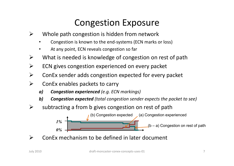## Congestion Exposure

- $\blacktriangleright$  Whole path congestion is hidden from network
	- •Congestion is known to the end-systems (ECN marks or loss)
	- •At any point, ECN reveals congestion so far
- $\blacktriangleright$ What is needed is knowledge of congestion on rest of path
- $\blacktriangleright$ ECN gives congestion experienced on every packet
- $\blacktriangleright$ ConEx sender adds congestion expected for every packe t
- $\blacktriangleright$ ConEx enables packets to carry<br>al **Congestion experienced** (e.g. ECN
	- *Congestion experienced (e.g. ECN markings)*
	- *b) Congestion expected (total congestion sender expects the packet to see)*
- $\blacktriangleright$ subtracting a from b gives congestion on rest of path

*0%1%* $(b - a)$  Congestion on rest of path (b) Congestion expected(a) Congestion experienced

 $\blacktriangleright$  $\triangleright$  ConEx mechanism to be defined in later document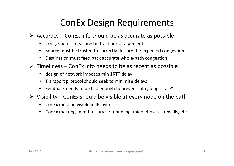### ConEx Design Requirements

- Accuracy ConEx info should be as accurate as possible.
	- $\bullet$ Congestion is measured in fractions of a percent
	- $\bullet$ Source must be trusted to correctly declare the expected congestion
	- $\bullet$ Destination must feed back accurate whole-path congestion
- $\triangleright$  Timeliness ConEx info needs to be as recent as possible
	- $\bullet$ design of network imposes min 1RTT delay
	- •Transport protocol should seek to minimise delays
	- $\bullet$ Feedback needs to be fast enough to prevent info going "stale"
- Visibility ConEx should be visible at every node on the pat h
	- $\bullet$ ConEx must be visible in IP layer
	- $\bullet$ ConEx markings need to survive tunneling, middleboxes, firewalls, etc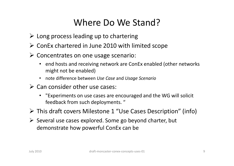## Where Do We Stand?

- > Long process leading up to chartering
- ▶ ConEx chartered in June 2010 with limited scope
- Concentrates on one usage scenario:
	- end hosts and receiving network are ConEx enabled (other networks might not be enabled)
	- $\bullet$ note difference between *Use Case* and *Usage Scenario*
- > Can consider other use cases:
	- "Experiments on use cases are encouraged and the WG will solicit feedback from such deployments. "
- This draft covers Milestone 1 "Use Cases Description" (info)
- Several use cases explored. Some go beyond charter, but demonstrate how powerful ConEx can be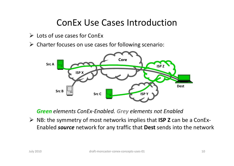#### ConEx Use Cases Introduction

- > Lots of use cases for ConEx
- Charter focuses on use cases for following scenario:



*Green elements ConEx-Enabled. Grey elements not Enabled*

 NB: the symmetry of most networks implies that **ISP Z** can be a ConEx-Enabled *source* network for any traffic that **Dest** sends into the network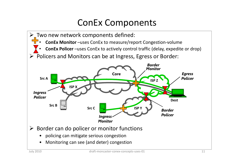## ConEx Components

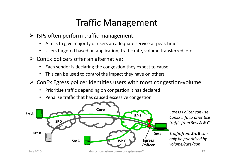## Traffic Management

- > ISPs often perform traffic management:
	- •Aim is to give majority of users an adequate service at peak times
	- •Users targeted based on application, traffic rate, volume transferred, etc
- $\triangleright$  ConEx policers offer an alternative:
	- •Each sender is declaring the congestion they expect to cause
	- •This can be used to control the impact they have on others
- > ConEx Egress policer identifies users with most congestion-volume.
	- •Prioritise traffic depending on congestion it has declared
	- •Penalise traffic that has caused excessive congestion

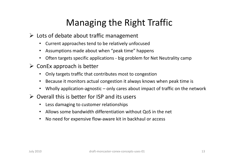## Managing the Right Traffic

- > Lots of debate about traffic management
	- $\bullet$ Current approaches tend to be relatively unfocused
	- •Assumptions made about when "peak time" happens
	- $\bullet$ Often targets specific applications - big problem for Net Neutrality camp
- > ConEx approach is better
	- $\bullet$ Only targets traffic that contributes most to congestion
	- •Because it monitors actual congestion it always knows when peak time is
	- $\bullet$ Wholly application-agnostic – only cares about impact of traffic on the network
- $\triangleright$  Overall this is better for ISP and its users
	- •Less damaging to customer relationships
	- •Allows some bandwidth differentiation without QoS in the net
	- •No need for expensive flow-aware kit in backhaul or access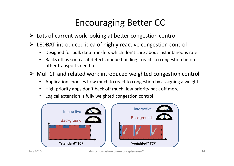## Encouraging Better CC

- > Lots of current work looking at better congestion control
- > LEDBAT introduced idea of highly reactive congestion control
	- $\bullet$ Designed for bulk data transfers which don't care about instantaneous rate
	- • Backs off as soon as it detects queue building - reacts to congestion before other transports need to
- MulTCP and related work introduced weighted congestion control
	- •Application chooses how much to react to congestion by assigning a weight
	- •High priority apps don't back off much, low priority back off more
	- •Logical extension is fully weighted congestion control

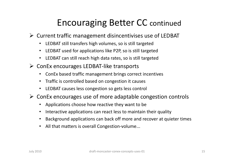## Encouraging Better CC continued

- > Current traffic management disincentivises use of LEDBAT
	- $\bullet$ LEDBAT still transfers high volumes, so is still targeted
	- $\bullet$ LEDBAT used for applications like P2P, so is still targeted
	- $\bullet$ LEDBAT can still reach high data rates, so is still targeted
- > ConEx encourages LEDBAT-like transports
	- $\bullet$ ConEx based traffic management brings correct incentives
	- •Traffic is controlled based on congestion it causes
	- $\bullet$ LEDBAT causes less congestion so gets less control
- > ConEx encourages use of more adaptable congestion controls
	- •Applications choose how reactive they want to be
	- •Interactive applications can react less to maintain their quality
	- •Background applications can back off more and recover at quieter times
	- $\bullet$ All that matters is overall Congestion-volume...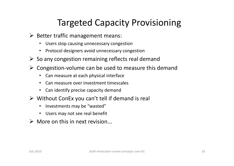## Targeted Capacity Provisioning

- Better traffic management means:
	- $\bullet$ Users stop causing unnecessary congestion
	- $\bullet$ Protocol designers avoid unnecessary congestion
- $\triangleright$  So any congestion remaining reflects real demand
- > Congestion-volume can be used to measure this demand
	- •Can measure at each physical interface
	- •Can measure over investment timescales
	- Can identify precise capacity demand
- Without ConEx you can't tell if demand is real
	- •Investments may be "wasted"
	- $\bullet$ Users may not see real benefit
- $\triangleright$  More on this in next revision...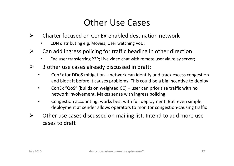### Other Use Cases

- $\blacktriangleright$  Charter focused on ConEx-enabled destination network
	- •CDN distributing e.g. Movies; User watching VoD;
- $\blacktriangleright$  Can add ingress policing for traffic heading in other direction
	- •End user transferring P2P; Live video chat with remote user via relay server;
- $\blacktriangleright$  3 other use cases already discussed in draft:
	- • ConEx for DDoS mitigation – network can identify and track excess congestion and block it before it causes problems. This could be a big incentive to deploy
	- • ConEx "QoS" (builds on weighted CC) – user can prioritise traffic with no network involvement. Makes sense with ingress policing.
	- • Congestion accounting: works best with full deployment. But even simple deployment at sender allows operators to monitor congestion-causing traffic
- $\blacktriangleright$  Other use cases discussed on mailing list. Intend to add more use cases to draft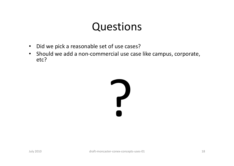# Questions

- $\bullet$ Did we pick a reasonable set of use cases?
- Should we add a non-commercial use case like campus, corporate, etc?

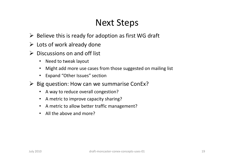## Next Steps

- Believe this is ready for adoption as first WG draft
- $\triangleright$  Lots of work already done
- $\triangleright$  Discussions on and off list
	- $\bullet$ Need to tweak layout
	- •Might add more use cases from those suggested on mailing list
	- $\bullet$ Expand "Other Issues" section
- > Big question: How can we summarise ConEx?
	- •A way to reduce overall congestion?
	- $\bullet$ A metric to improve capacity sharing?
	- $\bullet$ A metric to allow better traffic management?
	- •All the above and more?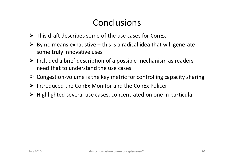## **Conclusions**

- $\triangleright$  This draft describes some of the use cases for ConEx
- $\triangleright$  By no means exhaustive this is a radical idea that will generate some truly innovative uses
- $\triangleright$  Included a brief description of a possible mechanism as readers need that to understand the use cases
- > Congestion-volume is the key metric for controlling capacity sharing
- $\triangleright$  Introduced the ConEx Monitor and the ConEx Policer
- $\triangleright$  Highlighted several use cases, concentrated on one in particular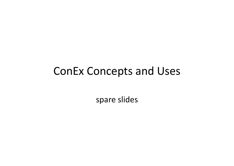## ConEx Concepts and Uses

spare slides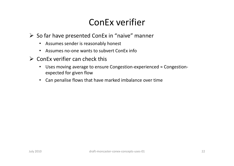## ConEx verifier

- So far have presented ConEx in "naive" manner
	- $\bullet$ Assumes sender is reasonably honest
	- $\bullet$ Assumes no-one wants to subvert ConEx info
- $\triangleright$  ConEx verifier can check this
	- $\bullet$  Uses moving average to ensure Congestion-experienced ≈ Congestionexpected for given flow
	- Can penalise flows that have marked imbalance over time $\bullet$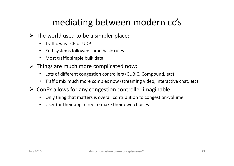## mediating between modern cc's

- $\triangleright$  The world used to be a simpler place:
	- $\bullet$ Traffic was TCP or UDP
	- •End-systems followed same basic rules
	- $\bullet$ Most traffic simple bulk data
- > Things are much more complicated now:
	- •Lots of different congestion controllers (CUBIC, Compound, etc)
	- $\bullet$ Traffic mix much more complex now (streaming video, interactive chat, etc)
- > ConEx allows for any congestion controller imaginable
	- •Only thing that matters is overall contribution to congestion-volume
	- $\bullet$ User (or their apps) free to make their own choices